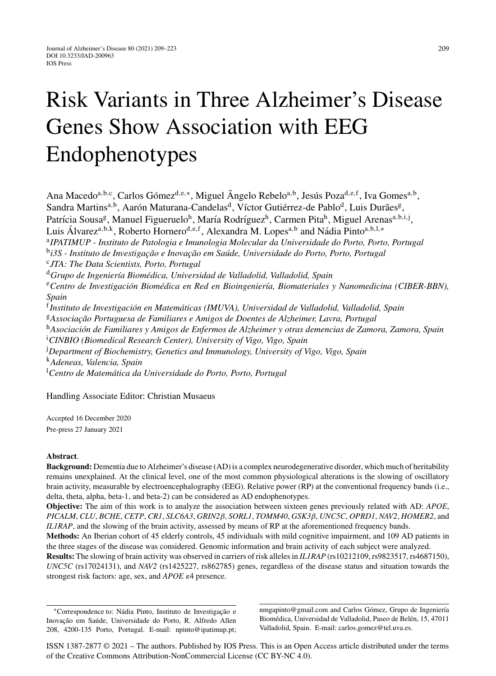# Risk Variants in Three Alzheimer's Disease Genes Show Association with EEG Endophenotypes

Ana Macedo<sup>a,b,c</sup>, Carlos Gómez<sup>d,e,∗</sup>, Miguel Ângelo Rebelo<sup>a,b</sup>, Jesús Poza<sup>d,e,f</sup>, Iva Gomes<sup>a,b</sup>, Sandra Martins<sup>a,b</sup>, Aarón Maturana-Candelas<sup>d</sup>, Víctor Gutiérrez-de Pablo<sup>d</sup>, Luis Durães<sup>g</sup>, Patrícia Sousa<sup>g</sup>, Manuel Figueruelo<sup>h</sup>, María Rodríguez<sup>h</sup>, Carmen Pita<sup>h</sup>, Miguel Arenas<sup>a,b,i,j</sup>, Luis Álvarez<sup>a,b,k</sup>, Roberto Hornero<sup>d,e,f</sup>, Alexandra M. Lopes<sup>a,b</sup> and Nádia Pinto<sup>a,b,l,</sup>\* <sup>a</sup>*IPATIMUP - Instituto de Patologia e Imunologia Molecular da Universidade do Porto, Porto, Portugal* <sup>b</sup>i3S - Instituto de Investigação e Inovação em Saúde, Universidade do Porto, Porto, Portugal <sup>c</sup>*JTA: The Data Scientists, Porto, Portugal* <sup>d</sup> Grupo de Ingeniería Biomédica, Universidad de Valladolid, Valladolid, Spain <sup>e</sup> Centro de Investigación Biomédica en Red en Bioingeniería, Biomateriales y Nanomedicina (CIBER-BBN), *Spain* <sup>f</sup> Instituto de Investigación en Matemáticas (IMUVA), Universidad de Valladolid, Valladolid, Spain <sup>g</sup>Associação Portuguesa de Familiares e Amigos de Doentes de Alzheimer, Lavra, Portugal <sup>h</sup>Asociación de Familiares y Amigos de Enfermos de Alzheimer y otras demencias de Zamora, Zamora, Spain i *CINBIO (Biomedical Research Center), University of Vigo, Vigo, Spain* j *Department of Biochemistry, Genetics and Immunology, University of Vigo, Vigo, Spain* <sup>k</sup>*Adeneas, Valencia, Spain* <sup>1</sup>Centro de Matemática da Universidade do Porto, Porto, Portugal

Handling Associate Editor: Christian Musaeus

Accepted 16 December 2020 Pre-press 27 January 2021

## **Abstract**.

**Background:** Dementia due to Alzheimer's disease (AD) is a complex neurodegenerative disorder, which much of heritability remains unexplained. At the clinical level, one of the most common physiological alterations is the slowing of oscillatory brain activity, measurable by electroencephalography (EEG). Relative power (RP) at the conventional frequency bands (i.e., delta, theta, alpha, beta-1, and beta-2) can be considered as AD endophenotypes.

**Objective:** The aim of this work is to analyze the association between sixteen genes previously related with AD: *APOE*, *PICALM*, *CLU*, *BCHE*, *CETP*, *CR1*, *SLC6A3*, *GRIN2*β, *SORL1*, *TOMM40*, *GSK3*β, *UNC5C*, *OPRD1*, *NAV2*, *HOMER2*, and *IL1RAP*, and the slowing of the brain activity, assessed by means of RP at the aforementioned frequency bands.

**Methods:** An Iberian cohort of 45 elderly controls, 45 individuals with mild cognitive impairment, and 109 AD patients in the three stages of the disease was considered. Genomic information and brain activity of each subject were analyzed.

**Results:** The slowing of brain activity was observed in carriers of risk alleles in *IL1RAP* (rs10212109, rs9823517, rs4687150), *UNC5C* (rs17024131), and *NAV2* (rs1425227, rs862785) genes, regardless of the disease status and situation towards the strongest risk factors: age, sex, and *APOE*  $\varepsilon$ 4 presence.

\*Correspondence to: Nádia Pinto, Instituto de Investigação e Inovação em Saúde, Universidade do Porto, R. Alfredo Allen 208, 4200-135 Porto, Portugal. E-mail: [npinto@ipatimup.pt](mailto:npinto@ipatimup.pt); [nmgapinto@gmail.com](mailto:nmgapinto@gmail.com) and Carlos Gómez, Grupo de Ingeniería Biomédica, Universidad de Valladolid, Paseo de Belén, 15, 47011 Valladolid, Spain. E-mail: [carlos.gomez@tel.uva.es](mailto:carlos.gomez@tel.uva.es).

ISSN 1387-2877 © 2021 – The authors. Published by IOS Press. This is an Open Access article distributed under the terms of the [Creative Commons Attribution-NonCommercial License \(CC BY-NC 4.0\).](https://creativecommons.org/licenses/by-nc/4.0/)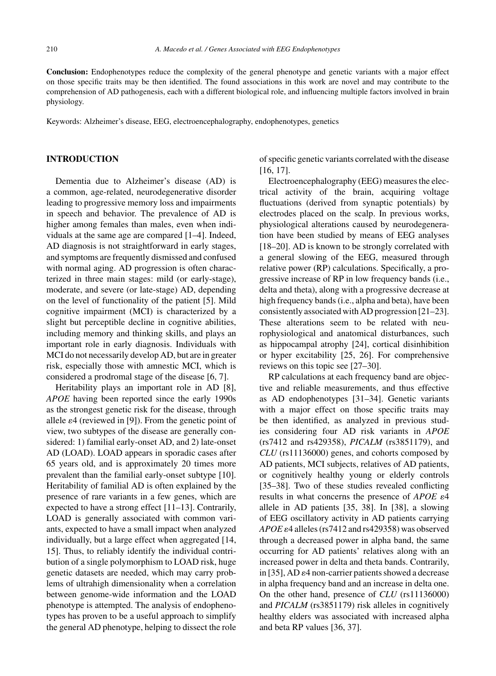**Conclusion:** Endophenotypes reduce the complexity of the general phenotype and genetic variants with a major effect on those specific traits may be then identified. The found associations in this work are novel and may contribute to the comprehension of AD pathogenesis, each with a different biological role, and influencing multiple factors involved in brain physiology.

Keywords: Alzheimer's disease, EEG, electroencephalography, endophenotypes, genetics

## **INTRODUCTION**

Dementia due to Alzheimer's disease (AD) is a common, age-related, neurodegenerative disorder leading to progressive memory loss and impairments in speech and behavior. The prevalence of AD is higher among females than males, even when individuals at the same age are compared [1–4]. Indeed, AD diagnosis is not straightforward in early stages, and symptoms are frequently dismissed and confused with normal aging. AD progression is often characterized in three main stages: mild (or early-stage), moderate, and severe (or late-stage) AD, depending on the level of functionality of the patient [5]. Mild cognitive impairment (MCI) is characterized by a slight but perceptible decline in cognitive abilities, including memory and thinking skills, and plays an important role in early diagnosis. Individuals with MCI do not necessarily develop AD, but are in greater risk, especially those with amnestic MCI, which is considered a prodromal stage of the disease [6, 7].

Heritability plays an important role in AD [8], *APOE* having been reported since the early 1990s as the strongest genetic risk for the disease, through allele  $\varepsilon$ 4 (reviewed in [9]). From the genetic point of view, two subtypes of the disease are generally considered: 1) familial early-onset AD, and 2) late-onset AD (LOAD). LOAD appears in sporadic cases after 65 years old, and is approximately 20 times more prevalent than the familial early-onset subtype [10]. Heritability of familial AD is often explained by the presence of rare variants in a few genes, which are expected to have a strong effect [11–13]. Contrarily, LOAD is generally associated with common variants, expected to have a small impact when analyzed individually, but a large effect when aggregated [14, 15]. Thus, to reliably identify the individual contribution of a single polymorphism to LOAD risk, huge genetic datasets are needed, which may carry problems of ultrahigh dimensionality when a correlation between genome-wide information and the LOAD phenotype is attempted. The analysis of endophenotypes has proven to be a useful approach to simplify the general AD phenotype, helping to dissect the role

of specific genetic variants correlated with the disease [16, 17].

Electroencephalography (EEG) measures the electrical activity of the brain, acquiring voltage fluctuations (derived from synaptic potentials) by electrodes placed on the scalp. In previous works, physiological alterations caused by neurodegeneration have been studied by means of EEG analyses [18–20]. AD is known to be strongly correlated with a general slowing of the EEG, measured through relative power (RP) calculations. Specifically, a progressive increase of RP in low frequency bands (i.e., delta and theta), along with a progressive decrease at high frequency bands (i.e., alpha and beta), have been consistently associated with AD progression [21–23]. These alterations seem to be related with neurophysiological and anatomical disturbances, such as hippocampal atrophy [24], cortical disinhibition or hyper excitability [25, 26]. For comprehensive reviews on this topic see [27–30].

RP calculations at each frequency band are objective and reliable measurements, and thus effective as AD endophenotypes [31–34]. Genetic variants with a major effect on those specific traits may be then identified, as analyzed in previous studies considering four AD risk variants in *APOE* (rs7412 and rs429358), *PICALM* (rs3851179), and *CLU* (rs11136000) genes, and cohorts composed by AD patients, MCI subjects, relatives of AD patients, or cognitively healthy young or elderly controls [35–38]. Two of these studies revealed conflicting results in what concerns the presence of  $APOE$   $\varepsilon$ <sup>4</sup> allele in AD patients [35, 38]. In [38], a slowing of EEG oscillatory activity in AD patients carrying  $APOE$   $\varepsilon$ 4 alleles (rs7412 and rs429358) was observed through a decreased power in alpha band, the same occurring for AD patients' relatives along with an increased power in delta and theta bands. Contrarily, in [35], AD  $\varepsilon$ 4 non-carrier patients showed a decrease in alpha frequency band and an increase in delta one. On the other hand, presence of *CLU* (rs11136000) and *PICALM* (rs3851179) risk alleles in cognitively healthy elders was associated with increased alpha and beta RP values [36, 37].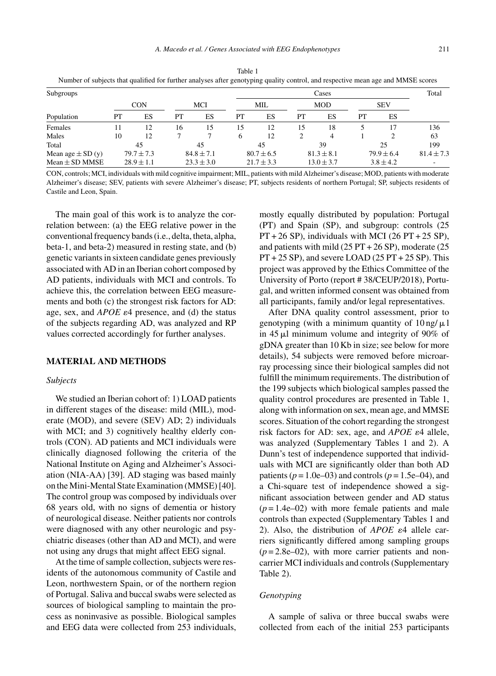| Subgroups             |                |                |                |                | Cases          |                |                |                |                |               | Total          |
|-----------------------|----------------|----------------|----------------|----------------|----------------|----------------|----------------|----------------|----------------|---------------|----------------|
|                       | <b>CON</b>     |                | MCI            |                | MIL            |                | <b>MOD</b>     |                | <b>SEV</b>     |               |                |
| Population            | PT             | ES             | PT             | ES             | PT             | ES             | PT             | ES             | PT             | ES            |                |
| Females               | 11             | 12             | 16             | 15             | 15             | 12             | 15             | 18             |                | 17            | 136            |
| Males                 | 10             | 12             |                |                | 6              | 12             | 2              | 4              |                | ↑             | 63             |
| Total                 | 45             |                | 45             |                | 45             |                | 39             |                | 25             |               | 199            |
| Mean age $\pm$ SD (y) | $79.7 \pm 7.3$ |                | $84.8 \pm 7.1$ |                | $80.7 \pm 6.5$ |                | $81.3 \pm 8.1$ |                | $79.9 \pm 6.4$ |               | $81.4 \pm 7.3$ |
| $Mean \pm SD$ MMSE    |                | $28.9 \pm 1.1$ |                | $23.3 \pm 3.0$ |                | $21.7 \pm 3.3$ |                | $13.0 \pm 3.7$ |                | $3.8 \pm 4.2$ |                |

Table 1 Number of subjects that qualified for further analyses after genotyping quality control, and respective mean age and MMSE scores

CON, controls; MCI, individuals with mild cognitive impairment; MIL, patients with mild Alzheimer's disease; MOD, patients with moderate Alzheimer's disease; SEV, patients with severe Alzheimer's disease; PT, subjects residents of northern Portugal; SP, subjects residents of Castile and Leon, Spain.

The main goal of this work is to analyze the correlation between: (a) the EEG relative power in the conventional frequency bands (i.e., delta, theta, alpha, beta-1, and beta-2) measured in resting state, and (b) genetic variants in sixteen candidate genes previously associated with AD in an Iberian cohort composed by AD patients, individuals with MCI and controls. To achieve this, the correlation between EEG measurements and both (c) the strongest risk factors for AD: age, sex, and  $APOE \varepsilon 4$  presence, and (d) the status of the subjects regarding AD, was analyzed and RP values corrected accordingly for further analyses.

## **MATERIAL AND METHODS**

#### *Subjects*

We studied an Iberian cohort of: 1) LOAD patients in different stages of the disease: mild (MIL), moderate (MOD), and severe (SEV) AD; 2) individuals with MCI; and 3) cognitively healthy elderly controls (CON). AD patients and MCI individuals were clinically diagnosed following the criteria of the National Institute on Aging and Alzheimer's Association (NIA-AA) [39]. AD staging was based mainly on the Mini-Mental State Examination (MMSE) [40]. The control group was composed by individuals over 68 years old, with no signs of dementia or history of neurological disease. Neither patients nor controls were diagnosed with any other neurologic and psychiatric diseases (other than AD and MCI), and were not using any drugs that might affect EEG signal.

At the time of sample collection, subjects were residents of the autonomous community of Castile and Leon, northwestern Spain, or of the northern region of Portugal. Saliva and buccal swabs were selected as sources of biological sampling to maintain the process as noninvasive as possible. Biological samples and EEG data were collected from 253 individuals,

mostly equally distributed by population: Portugal (PT) and Spain (SP), and subgroup: controls (25  $PT + 26$  SP), individuals with MCI (26  $PT + 25$  SP), and patients with mild  $(25 PT + 26 SP)$ , moderate  $(25$  $PT + 25 SP$ , and severe LOAD (25  $PT + 25 SP$ ). This project was approved by the Ethics Committee of the University of Porto (report # 38/CEUP/2018), Portugal, and written informed consent was obtained from all participants, family and/or legal representatives.

After DNA quality control assessment, prior to genotyping (with a minimum quantity of  $10 \text{ ng}/ \mu$ ) in 45  $\mu$ l minimum volume and integrity of 90% of gDNA greater than 10 Kb in size; see below for more details), 54 subjects were removed before microarray processing since their biological samples did not fulfill the minimum requirements. The distribution of the 199 subjects which biological samples passed the quality control procedures are presented in Table 1, along with information on sex, mean age, and MMSE scores. Situation of the cohort regarding the strongest risk factors for AD: sex, age, and  $APOE$   $\varepsilon$ 4 allele, was analyzed (Supplementary Tables 1 and 2). A Dunn's test of independence supported that individuals with MCI are significantly older than both AD patients  $(p = 1.0e-03)$  and controls  $(p = 1.5e-04)$ , and a Chi-square test of independence showed a significant association between gender and AD status  $(p=1.4e-02)$  with more female patients and male controls than expected (Supplementary Tables 1 and 2). Also, the distribution of  $APOE$   $\varepsilon$ <sup>4</sup> allele carriers significantly differed among sampling groups  $(p=2.8e-02)$ , with more carrier patients and noncarrier MCI individuals and controls (Supplementary Table 2).

## *Genotyping*

A sample of saliva or three buccal swabs were collected from each of the initial 253 participants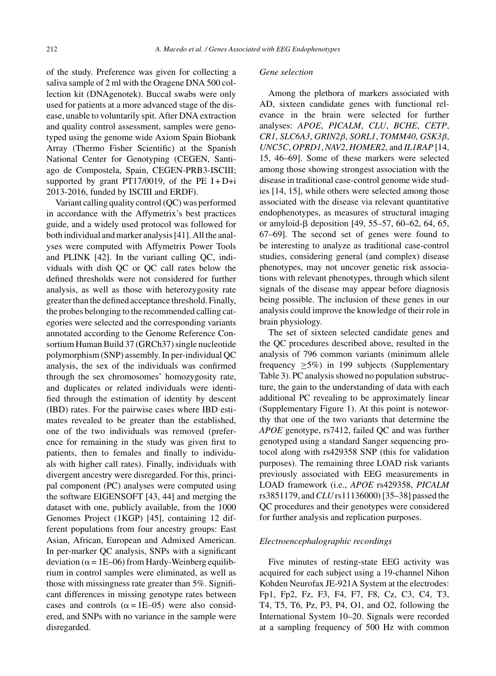of the study. Preference was given for collecting a saliva sample of 2 ml with the Oragene DNA 500 collection kit (DNAgenotek). Buccal swabs were only used for patients at a more advanced stage of the disease, unable to voluntarily spit. After DNA extraction and quality control assessment, samples were genotyped using the genome wide Axiom Spain Biobank Array (Thermo Fisher Scientific) at the Spanish National Center for Genotyping (CEGEN, Santiago de Compostela, Spain, CEGEN-PRB3-ISCIII; supported by grant PT17/0019, of the PE  $I + D+i$ 2013-2016, funded by ISCIII and ERDF).

Variant calling quality control (QC) was performed in accordance with the Affymetrix's best practices guide, and a widely used protocol was followed for both individual and marker analysis [41]. All the analyses were computed with Affymetrix Power Tools and PLINK [42]. In the variant calling QC, individuals with dish QC or QC call rates below the defined thresholds were not considered for further analysis, as well as those with heterozygosity rate greater than the defined acceptance threshold. Finally, the probes belonging to the recommended calling categories were selected and the corresponding variants annotated according to the Genome Reference Consortium Human Build 37 (GRCh37) single nucleotide polymorphism (SNP) assembly. In per-individual QC analysis, the sex of the individuals was confirmed through the sex chromosomes' homozygosity rate, and duplicates or related individuals were identified through the estimation of identity by descent (IBD) rates. For the pairwise cases where IBD estimates revealed to be greater than the established, one of the two individuals was removed (preference for remaining in the study was given first to patients, then to females and finally to individuals with higher call rates). Finally, individuals with divergent ancestry were disregarded. For this, principal component (PC) analyses were computed using the software EIGENSOFT [43, 44] and merging the dataset with one, publicly available, from the 1000 Genomes Project (1KGP) [45], containing 12 different populations from four ancestry groups: East Asian, African, European and Admixed American. In per-marker QC analysis, SNPs with a significant deviation ( $\alpha$  = 1E–06) from Hardy-Weinberg equilibrium in control samples were eliminated, as well as those with missingness rate greater than 5%. Significant differences in missing genotype rates between cases and controls ( $\alpha = 1E-05$ ) were also considered, and SNPs with no variance in the sample were disregarded.

#### *Gene selection*

Among the plethora of markers associated with AD, sixteen candidate genes with functional relevance in the brain were selected for further analyses: *APOE*, *PICALM*, *CLU*, *BCHE*, *CETP*, *CR1*, *SLC6A3*, *GRIN2*β, *SORL1*, *TOMM40*, *GSK3*β, *UNC5C*, *OPRD1*, *NAV2*, *HOMER2*, and *IL1RAP* [14, 15, 46–69]. Some of these markers were selected among those showing strongest association with the disease in traditional case-control genome wide studies [14, 15], while others were selected among those associated with the disease via relevant quantitative endophenotypes, as measures of structural imaging or amyloid- $\beta$  deposition [49, 55–57, 60–62, 64, 65, 67–69]. The second set of genes were found to be interesting to analyze as traditional case-control studies, considering general (and complex) disease phenotypes, may not uncover genetic risk associations with relevant phenotypes, through which silent signals of the disease may appear before diagnosis being possible. The inclusion of these genes in our analysis could improve the knowledge of their role in brain physiology.

The set of sixteen selected candidate genes and the QC procedures described above, resulted in the analysis of 796 common variants (minimum allele frequency  $\geq 5\%$ ) in 199 subjects (Supplementary Table 3). PC analysis showed no population substructure, the gain to the understanding of data with each additional PC revealing to be approximately linear (Supplementary Figure 1). At this point is noteworthy that one of the two variants that determine the *APOE* genotype, rs7412, failed QC and was further genotyped using a standard Sanger sequencing protocol along with rs429358 SNP (this for validation purposes). The remaining three LOAD risk variants previously associated with EEG measurements in LOAD framework (i.e., *APOE* rs429358, *PICALM* rs3851179, and*CLU* rs11136000) [35–38] passed the QC procedures and their genotypes were considered for further analysis and replication purposes.

## *Electroencephalographic recordings*

Five minutes of resting-state EEG activity was acquired for each subject using a 19-channel Nihon Kohden Neurofax JE-921A System at the electrodes: Fp1, Fp2, Fz, F3, F4, F7, F8, Cz, C3, C4, T3, T4, T5, T6, Pz, P3, P4, O1, and O2, following the International System 10–20. Signals were recorded at a sampling frequency of 500 Hz with common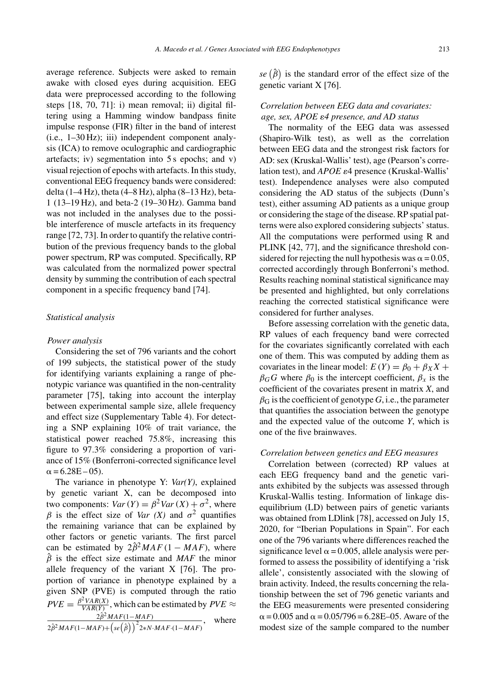average reference. Subjects were asked to remain awake with closed eyes during acquisition. EEG data were preprocessed according to the following steps [18, 70, 71]: i) mean removal; ii) digital filtering using a Hamming window bandpass finite impulse response (FIR) filter in the band of interest (i.e., 1–30 Hz); iii) independent component analysis (ICA) to remove oculographic and cardiographic artefacts; iv) segmentation into 5 s epochs; and v) visual rejection of epochs with artefacts. In this study, conventional EEG frequency bands were considered: delta (1–4 Hz), theta (4–8 Hz), alpha (8–13 Hz), beta-1 (13–19 Hz), and beta-2 (19–30 Hz). Gamma band was not included in the analyses due to the possible interference of muscle artefacts in its frequency range [72, 73]. In order to quantify the relative contribution of the previous frequency bands to the global power spectrum, RP was computed. Specifically, RP was calculated from the normalized power spectral density by summing the contribution of each spectral component in a specific frequency band [74].

## *Statistical analysis*

#### *Power analysis*

Considering the set of 796 variants and the cohort of 199 subjects, the statistical power of the study for identifying variants explaining a range of phenotypic variance was quantified in the non-centrality parameter [75], taking into account the interplay between experimental sample size, allele frequency and effect size (Supplementary Table 4). For detecting a SNP explaining 10% of trait variance, the statistical power reached 75.8%, increasing this figure to 97.3% considering a proportion of variance of 15% (Bonferroni-corrected significance level  $\alpha = 6.28E - 05$ .

The variance in phenotype Y: *Var(Y)*, explained by genetic variant X, can be decomposed into two components:  $Var(Y) = \beta^2 Var(X) + \sigma^2$ , where  $β$  is the effect size of *Var (X)* and  $σ<sup>2</sup>$  quantifies the remaining variance that can be explained by other factors or genetic variants. The first parcel can be estimated by  $2\hat{\beta}^2 MAF (1 - MAF)$ , where  $\hat{\beta}$  is the effect size estimate and *MAF* the minor allele frequency of the variant X [76]. The proportion of variance in phenotype explained by a given SNP (PVE) is computed through the ratio  $PVE = \frac{\beta^2 VAR(X)}{VAR(Y)}$ , which can be estimated by  $PVE \approx$  $2\hat{\beta}^2 MAF(1-MAF)$  $\frac{1}{2}\hat{\beta}^{2}MAF(1-MAF)+\left( se\left(\hat{\beta}\right)\right)^{2}2*N\cdot MAF\cdot(1-MAF)$ , where

se  $(\hat{\beta})$  is the standard error of the effect size of the genetic variant X [76].

## *Correlation between EEG data and covariates:* age, sex, APOE  $\varepsilon$ 4 presence, and AD status

The normality of the EEG data was assessed (Shapiro-Wilk test), as well as the correlation between EEG data and the strongest risk factors for AD: sex (Kruskal-Wallis' test), age (Pearson's correlation test), and *APOE*  $\varepsilon$ 4 presence (Kruskal-Wallis' test). Independence analyses were also computed considering the AD status of the subjects (Dunn's test), either assuming AD patients as a unique group or considering the stage of the disease. RP spatial patterns were also explored considering subjects' status. All the computations were performed using R and PLINK [42, 77], and the significance threshold considered for rejecting the null hypothesis was  $\alpha = 0.05$ , corrected accordingly through Bonferroni's method. Results reaching nominal statistical significance may be presented and highlighted, but only correlations reaching the corrected statistical significance were considered for further analyses.

Before assessing correlation with the genetic data, RP values of each frequency band were corrected for the covariates significantly correlated with each one of them. This was computed by adding them as covariates in the linear model:  $E(Y) = \beta_0 + \beta_X X +$  $\beta_G G$  where  $\beta_0$  is the intercept coefficient,  $\beta_x$  is the coefficient of the covariates present in matrix *X*, and  $\beta$ <sub>G</sub> is the coefficient of genotype *G*, i.e., the parameter that quantifies the association between the genotype and the expected value of the outcome *Y*, which is one of the five brainwaves.

## *Correlation between genetics and EEG measures*

Correlation between (corrected) RP values at each EEG frequency band and the genetic variants exhibited by the subjects was assessed through Kruskal-Wallis testing. Information of linkage disequilibrium (LD) between pairs of genetic variants was obtained from LDlink [78], accessed on July 15, 2020, for "Iberian Populations in Spain". For each one of the 796 variants where differences reached the significance level  $\alpha$  = 0.005, allele analysis were performed to assess the possibility of identifying a 'risk allele', consistently associated with the slowing of brain activity. Indeed, the results concerning the relationship between the set of 796 genetic variants and the EEG measurements were presented considering  $\alpha$  = 0.005 and  $\alpha$  = 0.05/796 = 6.28E–05. Aware of the modest size of the sample compared to the number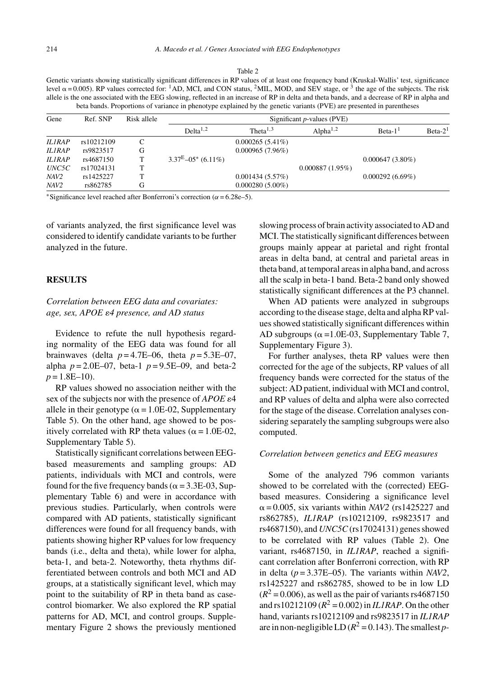#### Table 2

Genetic variants showing statistically significant differences in RP values of at least one frequency band (Kruskal-Wallis' test, significance level  $\alpha$  = 0.005). RP values corrected for: <sup>1</sup>AD, MCI, and CON status, <sup>2</sup>MIL, MOD, and SEV stage, or <sup>3</sup> the age of the subjects. The risk allele is the one associated with the EEG slowing, reflected in an increase of RP in delta and theta bands, and a decrease of RP in alpha and beta bands. Proportions of variance in phenotype explained by the genetic variants (PVE) are presented in parentheses

| Gene          | Ref. SNP   | Risk allele | Significant $p$ -values (PVE) |                      |                 |                    |           |  |  |
|---------------|------------|-------------|-------------------------------|----------------------|-----------------|--------------------|-----------|--|--|
|               |            |             | $Delta^{1,2}$                 | Theta <sup>1,3</sup> | Alpha $1,2$     | Beta- $11$         | $Beta-21$ |  |  |
| <b>ILIRAP</b> | rs10212109 |             |                               | $0.000265(5.41\%)$   |                 |                    |           |  |  |
| <b>ILIRAP</b> | rs9823517  | G           |                               | $0.000965(7.96\%)$   |                 |                    |           |  |  |
| <b>ILIRAP</b> | rs4687150  | T           | $3.37^{E}-05*$ (6.11%)        |                      |                 | $0.000647(3.80\%)$ |           |  |  |
| UNC5C         | rs17024131 |             |                               |                      | 0.000887(1.95%) |                    |           |  |  |
| NAV2          | rs1425227  |             |                               | 0.001434(5.57%)      |                 | $0.000292(6.69\%)$ |           |  |  |
| NAV2          | rs862785   | G           |                               | $0.000280(5.00\%)$   |                 |                    |           |  |  |

\*Significance level reached after Bonferroni's correction ( $\alpha$  = 6.28e–5).

of variants analyzed, the first significance level was considered to identify candidate variants to be further analyzed in the future.

## **RESULTS**

## *Correlation between EEG data and covariates: age, sex, APOE* -*4 presence, and AD status*

Evidence to refute the null hypothesis regarding normality of the EEG data was found for all brainwaves (delta  $p = 4.7E-06$ , theta  $p = 5.3E-07$ , alpha  $p = 2.0E-07$ , beta-1  $p = 9.5E-09$ , and beta-2  $p = 1.8E-10$ .

RP values showed no association neither with the sex of the subjects nor with the presence of *APOE*  $\varepsilon$ 4 allele in their genotype ( $\alpha = 1.0E-02$ , Supplementary Table 5). On the other hand, age showed to be positively correlated with RP theta values ( $\alpha$  = 1.0E-02, Supplementary Table 5).

Statistically significant correlations between EEGbased measurements and sampling groups: AD patients, individuals with MCI and controls, were found for the five frequency bands ( $\alpha$  = 3.3E-03, Supplementary Table 6) and were in accordance with previous studies. Particularly, when controls were compared with AD patients, statistically significant differences were found for all frequency bands, with patients showing higher RP values for low frequency bands (i.e., delta and theta), while lower for alpha, beta-1, and beta-2. Noteworthy, theta rhythms differentiated between controls and both MCI and AD groups, at a statistically significant level, which may point to the suitability of RP in theta band as casecontrol biomarker. We also explored the RP spatial patterns for AD, MCI, and control groups. Supplementary Figure 2 shows the previously mentioned

slowing process of brain activity associated to AD and MCI. The statistically significant differences between groups mainly appear at parietal and right frontal areas in delta band, at central and parietal areas in theta band, at temporal areas in alpha band, and across all the scalp in beta-1 band. Beta-2 band only showed statistically significant differences at the P3 channel.

When AD patients were analyzed in subgroups according to the disease stage, delta and alpha RP values showed statistically significant differences within AD subgroups ( $\alpha$  =1.0E-03, Supplementary Table 7, Supplementary Figure 3).

For further analyses, theta RP values were then corrected for the age of the subjects, RP values of all frequency bands were corrected for the status of the subject: AD patient, individual with MCI and control, and RP values of delta and alpha were also corrected for the stage of the disease. Correlation analyses considering separately the sampling subgroups were also computed.

#### *Correlation between genetics and EEG measures*

Some of the analyzed 796 common variants showed to be correlated with the (corrected) EEGbased measures. Considering a significance level  $\alpha$  = 0.005, six variants within *NAV2* (rs1425227 and rs862785), *IL1RAP* (rs10212109, rs9823517 and rs4687150), and *UNC5C*(rs17024131) genes showed to be correlated with RP values (Table 2). One variant, rs4687150, in *IL1RAP*, reached a significant correlation after Bonferroni correction, with RP in delta (*p* = 3.37E–05). The variants within *NAV2*, rs1425227 and rs862785, showed to be in low LD  $(R^2 = 0.006)$ , as well as the pair of variants rs4687150 and  $rs10212109 (R^2 = 0.002)$  in *IL1RAP*. On the other hand, variants rs10212109 and rs9823517 in *IL1RAP* are in non-negligible LD  $(R^2 = 0.143)$ . The smallest *p*-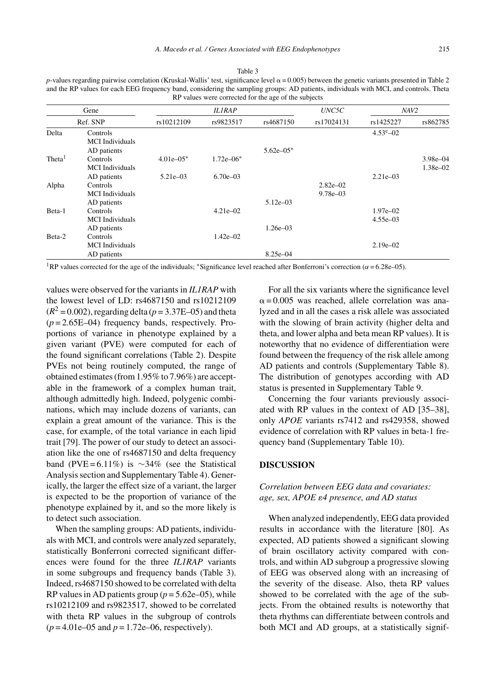| RP values were corrected for the age of the subjects |                                    |                |               |               |                              |                                |                              |  |  |
|------------------------------------------------------|------------------------------------|----------------|---------------|---------------|------------------------------|--------------------------------|------------------------------|--|--|
| Gene                                                 |                                    |                | <b>ILIRAP</b> |               | UNC5C                        | NAV2                           |                              |  |  |
|                                                      | Ref. SNP                           | rs10212109     | rs9823517     | rs4687150     | rs17024131                   | rs1425227<br>$4.53^{\circ}-02$ | rs862785                     |  |  |
| Delta                                                | Controls<br><b>MCI</b> Individuals |                |               |               |                              |                                |                              |  |  |
|                                                      | AD patients                        |                |               | $5.62e - 05*$ |                              |                                |                              |  |  |
| Theta <sup>1</sup>                                   | Controls<br><b>MCI</b> Individuals | $4.01e - 0.5*$ | $1.72e - 06*$ |               |                              |                                | $3.98e - 04$<br>$1.38e - 02$ |  |  |
|                                                      | AD patients                        | $5.21e - 03$   | $6.70e - 03$  |               |                              | $2.21e - 03$                   |                              |  |  |
| Alpha                                                | Controls<br><b>MCI</b> Individuals |                |               |               | $2.82e - 02$<br>$9.78e - 03$ |                                |                              |  |  |
|                                                      | AD patients                        |                |               | $5.12e - 03$  |                              |                                |                              |  |  |
| Beta-1                                               | Controls<br><b>MCI</b> Individuals |                | $4.21e - 02$  |               |                              | $1.97e - 02$<br>$4.55e - 03$   |                              |  |  |
|                                                      | AD patients                        |                |               | $1.26e - 03$  |                              |                                |                              |  |  |
| Beta-2                                               | Controls<br><b>MCI</b> Individuals |                | $1.42e - 02$  |               |                              | $2.19e - 02$                   |                              |  |  |
|                                                      | AD patients                        |                |               | $8.25e - 04$  |                              |                                |                              |  |  |

Table 3

*p*-values regarding pairwise correlation (Kruskal-Wallis' test, significance level  $\alpha$  = 0.005) between the genetic variants presented in Table 2 and the RP values for each EEG frequency band, considering the sampling groups: AD patients, individuals with MCI, and controls. Theta

<sup>1</sup>RP values corrected for the age of the individuals; \*Significance level reached after Bonferroni's correction ( $\alpha$  = 6.28e–05).

values were observed for the variants in *IL1RAP* with the lowest level of LD: rs4687150 and rs10212109  $(R^2 = 0.002)$ , regarding delta ( $p = 3.37E - 0.05$ ) and theta  $(p=2.65E-04)$  frequency bands, respectively. Proportions of variance in phenotype explained by a given variant (PVE) were computed for each of the found significant correlations (Table 2). Despite PVEs not being routinely computed, the range of obtained estimates (from 1.95% to 7.96%) are acceptable in the framework of a complex human trait, although admittedly high. Indeed, polygenic combinations, which may include dozens of variants, can explain a great amount of the variance. This is the case, for example, of the total variance in each lipid trait [79]. The power of our study to detect an association like the one of rs4687150 and delta frequency band (PVE = 6.11%) is  $\sim$ 34% (see the Statistical Analysis section and Supplementary Table 4). Generically, the larger the effect size of a variant, the larger is expected to be the proportion of variance of the phenotype explained by it, and so the more likely is to detect such association.

When the sampling groups: AD patients, individuals with MCI, and controls were analyzed separately, statistically Bonferroni corrected significant differences were found for the three *IL1RAP* variants in some subgroups and frequency bands (Table 3). Indeed, rs4687150 showed to be correlated with delta RP values in AD patients group ( $p = 5.62e-05$ ), while rs10212109 and rs9823517, showed to be correlated with theta RP values in the subgroup of controls (*p* = 4.01e–05 and *p* = 1.72e–06, respectively).

For all the six variants where the significance level  $\alpha$  = 0.005 was reached, allele correlation was analyzed and in all the cases a risk allele was associated with the slowing of brain activity (higher delta and theta, and lower alpha and beta mean RP values). It is noteworthy that no evidence of differentiation were found between the frequency of the risk allele among AD patients and controls (Supplementary Table 8). The distribution of genotypes according with AD status is presented in Supplementary Table 9.

Concerning the four variants previously associated with RP values in the context of AD [35–38], only *APOE* variants rs7412 and rs429358, showed evidence of correlation with RP values in beta-1 frequency band (Supplementary Table 10).

## **DISCUSSION**

## *Correlation between EEG data and covariates:* age, sex, APOE  $\varepsilon$ 4 presence, and AD status

When analyzed independently, EEG data provided results in accordance with the literature [80]. As expected, AD patients showed a significant slowing of brain oscillatory activity compared with controls, and within AD subgroup a progressive slowing of EEG was observed along with an increasing of the severity of the disease. Also, theta RP values showed to be correlated with the age of the subjects. From the obtained results is noteworthy that theta rhythms can differentiate between controls and both MCI and AD groups, at a statistically signif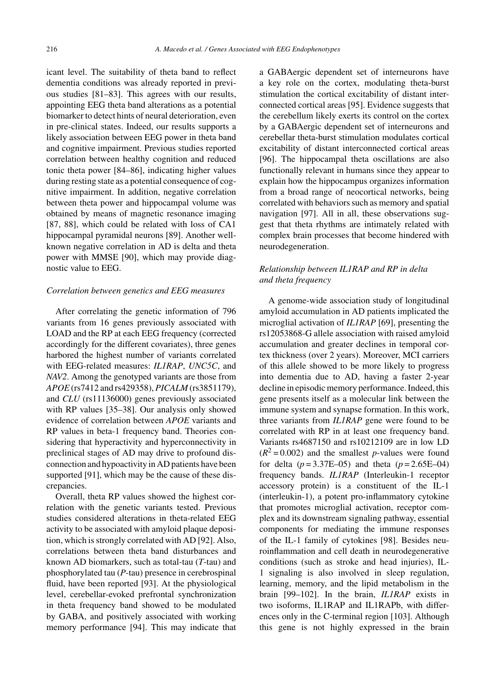icant level. The suitability of theta band to reflect dementia conditions was already reported in previous studies [81–83]. This agrees with our results, appointing EEG theta band alterations as a potential biomarker to detect hints of neural deterioration, even in pre-clinical states. Indeed, our results supports a likely association between EEG power in theta band and cognitive impairment. Previous studies reported correlation between healthy cognition and reduced tonic theta power [84–86], indicating higher values during resting state as a potential consequence of cognitive impairment. In addition, negative correlation between theta power and hippocampal volume was obtained by means of magnetic resonance imaging [87, 88], which could be related with loss of CA1 hippocampal pyramidal neurons [89]. Another wellknown negative correlation in AD is delta and theta power with MMSE [90], which may provide diagnostic value to EEG.

#### *Correlation between genetics and EEG measures*

After correlating the genetic information of 796 variants from 16 genes previously associated with LOAD and the RP at each EEG frequency (corrected accordingly for the different covariates), three genes harbored the highest number of variants correlated with EEG-related measures: *IL1RAP*, *UNC5C*, and *NAV2*. Among the genotyped variants are those from *APOE* (rs7412 and rs429358), *PICALM* (rs3851179), and *CLU* (rs11136000) genes previously associated with RP values [35–38]. Our analysis only showed evidence of correlation between *APOE* variants and RP values in beta-1 frequency band. Theories considering that hyperactivity and hyperconnectivity in preclinical stages of AD may drive to profound disconnection and hypoactivity in AD patients have been supported [91], which may be the cause of these discrepancies.

Overall, theta RP values showed the highest correlation with the genetic variants tested. Previous studies considered alterations in theta-related EEG activity to be associated with amyloid plaque deposition, which is strongly correlated with AD [92]. Also, correlations between theta band disturbances and known AD biomarkers, such as total-tau (*T*-tau) and phosphorylated tau (*P*-tau) presence in cerebrospinal fluid, have been reported [93]. At the physiological level, cerebellar-evoked prefrontal synchronization in theta frequency band showed to be modulated by GABA, and positively associated with working memory performance [94]. This may indicate that

a GABAergic dependent set of interneurons have a key role on the cortex, modulating theta-burst stimulation the cortical excitability of distant interconnected cortical areas [95]. Evidence suggests that the cerebellum likely exerts its control on the cortex by a GABAergic dependent set of interneurons and cerebellar theta-burst stimulation modulates cortical excitability of distant interconnected cortical areas [96]. The hippocampal theta oscillations are also functionally relevant in humans since they appear to explain how the hippocampus organizes information from a broad range of neocortical networks, being correlated with behaviors such as memory and spatial navigation [97]. All in all, these observations suggest that theta rhythms are intimately related with complex brain processes that become hindered with neurodegeneration.

## *Relationship between IL1RAP and RP in delta and theta frequency*

A genome-wide association study of longitudinal amyloid accumulation in AD patients implicated the microglial activation of *IL1RAP* [69], presenting the rs12053868-G allele association with raised amyloid accumulation and greater declines in temporal cortex thickness (over 2 years). Moreover, MCI carriers of this allele showed to be more likely to progress into dementia due to AD, having a faster 2-year decline in episodic memory performance. Indeed, this gene presents itself as a molecular link between the immune system and synapse formation. In this work, three variants from *IL1RAP* gene were found to be correlated with RP in at least one frequency band. Variants rs4687150 and rs10212109 are in low LD  $(R^2 = 0.002)$  and the smallest *p*-values were found for delta  $(p = 3.37E - 05)$  and theta  $(p = 2.65E - 04)$ frequency bands. *IL1RAP* (Interleukin-1 receptor accessory protein) is a constituent of the IL-1 (interleukin-1), a potent pro-inflammatory cytokine that promotes microglial activation, receptor complex and its downstream signaling pathway, essential components for mediating the immune responses of the IL-1 family of cytokines [98]. Besides neuroinflammation and cell death in neurodegenerative conditions (such as stroke and head injuries), IL-1 signaling is also involved in sleep regulation, learning, memory, and the lipid metabolism in the brain [99–102]. In the brain, *IL1RAP* exists in two isoforms, IL1RAP and IL1RAPb, with differences only in the C-terminal region [103]. Although this gene is not highly expressed in the brain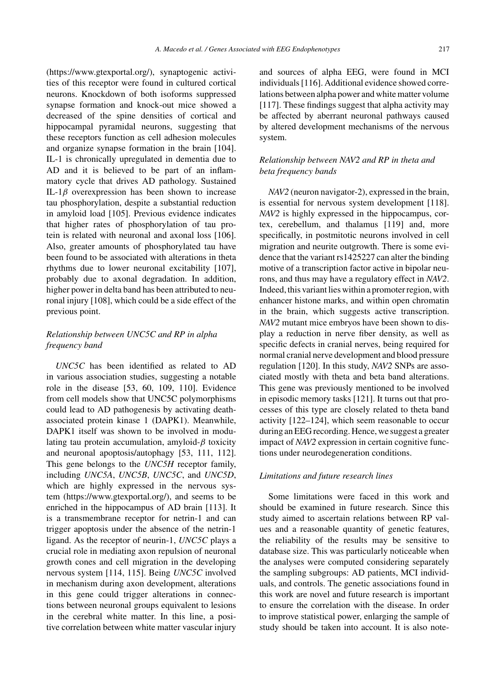[\(https://www.gtexportal.org/](https://www.gtexportal.org/)), synaptogenic activities of this receptor were found in cultured cortical neurons. Knockdown of both isoforms suppressed synapse formation and knock-out mice showed a decreased of the spine densities of cortical and hippocampal pyramidal neurons, suggesting that these receptors function as cell adhesion molecules and organize synapse formation in the brain [104]. IL-1 is chronically upregulated in dementia due to AD and it is believed to be part of an inflammatory cycle that drives AD pathology. Sustained IL-1 $\beta$  overexpression has been shown to increase tau phosphorylation, despite a substantial reduction in amyloid load [105]. Previous evidence indicates that higher rates of phosphorylation of tau protein is related with neuronal and axonal loss [106]. Also, greater amounts of phosphorylated tau have been found to be associated with alterations in theta rhythms due to lower neuronal excitability [107], probably due to axonal degradation. In addition, higher power in delta band has been attributed to neuronal injury [108], which could be a side effect of the previous point.

## *Relationship between UNC5C and RP in alpha frequency band*

*UNC5C* has been identified as related to AD in various association studies, suggesting a notable role in the disease [53, 60, 109, 110]. Evidence from cell models show that UNC5C polymorphisms could lead to AD pathogenesis by activating deathassociated protein kinase 1 (DAPK1). Meanwhile, DAPK1 itself was shown to be involved in modulating tau protein accumulation, amyloid- $\beta$  toxicity and neuronal apoptosis/autophagy [53, 111, 112]. This gene belongs to the *UNC5H* receptor family, including *UNC5A*, *UNC5B*, *UNC5C*, and *UNC5D*, which are highly expressed in the nervous system ([https://www.gtexportal.org/\)](https://www.gtexportal.org/), and seems to be enriched in the hippocampus of AD brain [113]. It is a transmembrane receptor for netrin-1 and can trigger apoptosis under the absence of the netrin-1 ligand. As the receptor of neurin-1, *UNC5C* plays a crucial role in mediating axon repulsion of neuronal growth cones and cell migration in the developing nervous system [114, 115]. Being *UNC5C* involved in mechanism during axon development, alterations in this gene could trigger alterations in connections between neuronal groups equivalent to lesions in the cerebral white matter. In this line, a positive correlation between white matter vascular injury

and sources of alpha EEG, were found in MCI individuals [116]. Additional evidence showed correlations between alpha power and white matter volume [117]. These findings suggest that alpha activity may be affected by aberrant neuronal pathways caused by altered development mechanisms of the nervous system.

## *Relationship between NAV2 and RP in theta and beta frequency bands*

*NAV2* (neuron navigator-2), expressed in the brain, is essential for nervous system development [118]. *NAV2* is highly expressed in the hippocampus, cortex, cerebellum, and thalamus [119] and, more specifically, in postmitotic neurons involved in cell migration and neurite outgrowth. There is some evidence that the variant rs1425227 can alter the binding motive of a transcription factor active in bipolar neurons, and thus may have a regulatory effect in *NAV2*. Indeed, this variant lies within a promoter region, with enhancer histone marks, and within open chromatin in the brain, which suggests active transcription. *NAV2* mutant mice embryos have been shown to display a reduction in nerve fiber density, as well as specific defects in cranial nerves, being required for normal cranial nerve development and blood pressure regulation [120]. In this study, *NAV2* SNPs are associated mostly with theta and beta band alterations. This gene was previously mentioned to be involved in episodic memory tasks [121]. It turns out that processes of this type are closely related to theta band activity [122–124], which seem reasonable to occur during an EEG recording. Hence, we suggest a greater impact of *NAV2* expression in certain cognitive functions under neurodegeneration conditions.

## *Limitations and future research lines*

Some limitations were faced in this work and should be examined in future research. Since this study aimed to ascertain relations between RP values and a reasonable quantity of genetic features, the reliability of the results may be sensitive to database size. This was particularly noticeable when the analyses were computed considering separately the sampling subgroups: AD patients, MCI individuals, and controls. The genetic associations found in this work are novel and future research is important to ensure the correlation with the disease. In order to improve statistical power, enlarging the sample of study should be taken into account. It is also note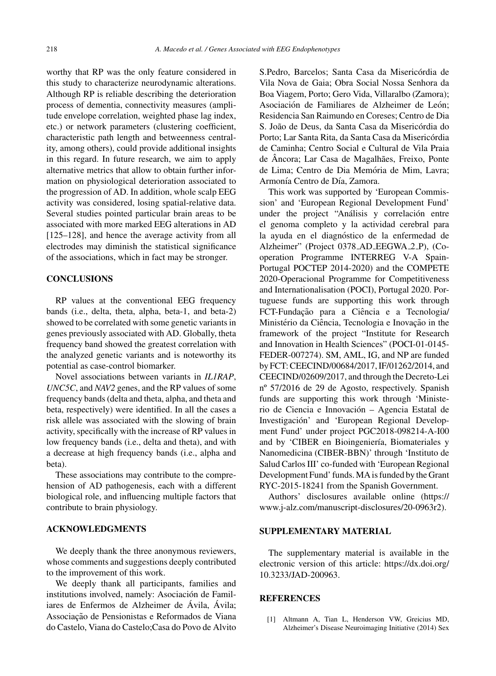worthy that RP was the only feature considered in this study to characterize neurodynamic alterations. Although RP is reliable describing the deterioration process of dementia, connectivity measures (amplitude envelope correlation, weighted phase lag index, etc.) or network parameters (clustering coefficient, characteristic path length and betweenness centrality, among others), could provide additional insights in this regard. In future research, we aim to apply alternative metrics that allow to obtain further information on physiological deterioration associated to the progression of AD. In addition, whole scalp EEG activity was considered, losing spatial-relative data. Several studies pointed particular brain areas to be associated with more marked EEG alterations in AD [125–128], and hence the average activity from all electrodes may diminish the statistical significance of the associations, which in fact may be stronger.

## **CONCLUSIONS**

RP values at the conventional EEG frequency bands (i.e., delta, theta, alpha, beta-1, and beta-2) showed to be correlated with some genetic variants in genes previously associated with AD. Globally, theta frequency band showed the greatest correlation with the analyzed genetic variants and is noteworthy its potential as case-control biomarker.

Novel associations between variants in *IL1RAP*, *UNC5C*, and *NAV2* genes, and the RP values of some frequency bands (delta and theta, alpha, and theta and beta, respectively) were identified. In all the cases a risk allele was associated with the slowing of brain activity, specifically with the increase of RP values in low frequency bands (i.e., delta and theta), and with a decrease at high frequency bands (i.e., alpha and beta).

These associations may contribute to the comprehension of AD pathogenesis, each with a different biological role, and influencing multiple factors that contribute to brain physiology.

## **ACKNOWLEDGMENTS**

We deeply thank the three anonymous reviewers, whose comments and suggestions deeply contributed to the improvement of this work.

We deeply thank all participants, families and institutions involved, namely: Asociación de Familiares de Enfermos de Alzheimer de Ávila, Ávila; Associação de Pensionistas e Reformados de Viana do Castelo, Viana do Castelo;Casa do Povo de Alvito S.Pedro, Barcelos: Santa Casa da Misericórdia de Vila Nova de Gaia; Obra Social Nossa Senhora da Boa Viagem, Porto; Gero Vida, Villaralbo (Zamora); Asociación de Familiares de Alzheimer de León; Residencia San Raimundo en Coreses; Centro de Dia S. João de Deus, da Santa Casa da Misericórdia do Porto: Lar Santa Rita, da Santa Casa da Misericórdia de Caminha; Centro Social e Cultural de Vila Praia de Âncora; Lar Casa de Magalhães, Freixo, Ponte de Lima; Centro de Dia Memória de Mim, Lavra; Armonía Centro de Día, Zamora.

This work was supported by 'European Commission' and 'European Regional Development Fund' under the project "Análisis y correlación entre el genoma completo y la actividad cerebral para la ayuda en el diagnóstico de la enfermedad de Alzheimer" (Project 0378 AD EEGWA 2 P), (Cooperation Programme INTERREG V-A Spain-Portugal POCTEP 2014-2020) and the COMPETE 2020-Operacional Programme for Competitiveness and Internationalisation (POCI), Portugal 2020. Portuguese funds are supporting this work through FCT-Fundação para a Ciência e a Tecnologia/ Ministério da Ciência, Tecnologia e Inovação in the framework of the project "Institute for Research and Innovation in Health Sciences" (POCI-01-0145- FEDER-007274). SM, AML, IG, and NP are funded by FCT: CEECIND/00684/2017, IF/01262/2014, and CEECIND/02609/2017, and through the Decreto-Lei nº 57/2016 de 29 de Agosto, respectively. Spanish funds are supporting this work through 'Ministerio de Ciencia e Innovación – Agencia Estatal de Investigación' and 'European Regional Development Fund' under project PGC2018-098214-A-I00 and by 'CIBER en Bioingeniería, Biomateriales y Nanomedicina (CIBER-BBN)' through 'Instituto de Salud Carlos III' co-funded with 'European Regional Development Fund' funds. MA is funded by the Grant RYC-2015-18241 from the Spanish Government.

Authors' disclosures available online [\(https://](https://www.j-alz.com/manuscript-disclosures/20-0963r2) www.j-alz.com/manuscript-disclosures/20-0963r2).

## **SUPPLEMENTARY MATERIAL**

The supplementary material is available in the electronic version of this article: [https://dx.doi.org/](https://dx.doi.org/10.3233/JAD-200963) 10.3233/JAD-200963.

#### **REFERENCES**

[1] Altmann A, Tian L, Henderson VW, Greicius MD, Alzheimer's Disease Neuroimaging Initiative (2014) Sex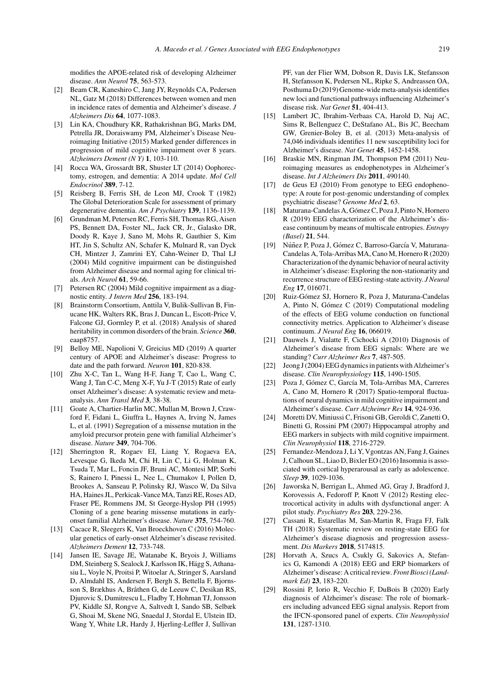modifies the APOE-related risk of developing Alzheimer disease. *Ann Neurol* **75**, 563-573.

- [2] Beam CR, Kaneshiro C, Jang JY, Reynolds CA, Pedersen NL, Gatz M (2018) Differences between women and men in incidence rates of dementia and Alzheimer's disease. *J Alzheimers Dis* **64**, 1077-1083.
- [3] Lin KA, Choudhury KR, Rathakrishnan BG, Marks DM, Petrella JR, Doraiswamy PM, Alzheimer's Disease Neuroimaging Initiative (2015) Marked gender differences in progression of mild cognitive impairment over 8 years. *Alzheimers Dement (N Y)* **1**, 103-110.
- [4] Rocca WA, Grossardt BR, Shuster LT (2014) Oophorectomy, estrogen, and dementia: A 2014 update. *Mol Cell Endocrinol* **389**, 7-12.
- [5] Reisberg B, Ferris SH, de Leon MJ, Crook T (1982) The Global Deterioration Scale for assessment of primary degenerative dementia. *Am J Psychiatry* **139**, 1136-1139.
- [6] Grundman M, Petersen RC, Ferris SH, Thomas RG, Aisen PS, Bennett DA, Foster NL, Jack CR, Jr., Galasko DR, Doody R, Kaye J, Sano M, Mohs R, Gauthier S, Kim HT, Jin S, Schultz AN, Schafer K, Mulnard R, van Dyck CH, Mintzer J, Zamrini EY, Cahn-Weiner D, Thal LJ (2004) Mild cognitive impairment can be distinguished from Alzheimer disease and normal aging for clinical trials. *Arch Neurol* **61**, 59-66.
- [7] Petersen RC (2004) Mild cognitive impairment as a diagnostic entity. *J Intern Med* **256**, 183-194.
- [8] Brainstorm Consortium, Anttila V, Bulik-Sullivan B, Finucane HK, Walters RK, Bras J, Duncan L, Escott-Price V, Falcone GJ, Gormley P, et al. (2018) Analysis of shared heritability in common disorders of the brain. *Science* **360**, eaap8757.
- [9] Belloy ME, Napolioni V, Greicius MD (2019) A quarter century of APOE and Alzheimer's disease: Progress to date and the path forward. *Neuron* **101**, 820-838.
- [10] Zhu X-C, Tan L, Wang H-F, Jiang T, Cao L, Wang C, Wang J, Tan C-C, Meng X-F, Yu J-T (2015) Rate of early onset Alzheimer's disease: A systematic review and metaanalysis. *Ann Transl Med* **3**, 38-38.
- [11] Goate A, Chartier-Harlin MC, Mullan M, Brown J, Crawford F, Fidani L, Giuffra L, Haynes A, Irving N, James L, et al. (1991) Segregation of a missense mutation in the amyloid precursor protein gene with familial Alzheimer's disease. *Nature* **349**, 704-706.
- [12] Sherrington R, Rogaev EI, Liang Y, Rogaeva EA, Levesque G, Ikeda M, Chi H, Lin C, Li G, Holman K, Tsuda T, Mar L, Foncin JF, Bruni AC, Montesi MP, Sorbi S, Rainero I, Pinessi L, Nee L, Chumakov I, Pollen D, Brookes A, Sanseau P, Polinsky RJ, Wasco W, Da Silva HA, Haines JL, Perkicak-Vance MA, Tanzi RE, Roses AD, Fraser PE, Rommens JM, St George-Hyslop PH (1995) Cloning of a gene bearing missense mutations in earlyonset familial Alzheimer's disease. *Nature* **375**, 754-760.
- [13] Cacace R, Sleegers K, Van Broeckhoven C (2016) Molecular genetics of early-onset Alzheimer's disease revisited. *Alzheimers Dement* **12**, 733-748.
- [14] Jansen IE, Savage JE, Watanabe K, Bryois J, Williams DM, Steinberg S, Sealock J, Karlsson IK, Hägg S, Athanasiu L, Voyle N, Proitsi P, Witoelar A, Stringer S, Aarsland D, Almdahl IS, Andersen F, Bergh S, Bettella F, Bjornsson S, Brækhus A, Bråthen G, de Leeuw C, Desikan RS, Djurovic S, Dumitrescu L, Fladby T, Hohman TJ, Jonsson PV, Kiddle SJ, Rongve A, Saltvedt I, Sando SB, Selbæk G, Shoai M, Skene NG, Snaedal J, Stordal E, Ulstein ID, Wang Y, White LR, Hardy J, Hjerling-Leffler J, Sullivan

PF, van der Flier WM, Dobson R, Davis LK, Stefansson H, Stefansson K, Pedersen NL, Ripke S, Andreassen OA, Posthuma D (2019) Genome-wide meta-analysis identifies new loci and functional pathways influencing Alzheimer's disease risk. *Nat Genet* **51**, 404-413.

- [15] Lambert JC, Ibrahim-Verbaas CA, Harold D, Naj AC, Sims R, Bellenguez C, DeStafano AL, Bis JC, Beecham GW, Grenier-Boley B, et al. (2013) Meta-analysis of 74,046 individuals identifies 11 new susceptibility loci for Alzheimer's disease. *Nat Genet* **45**, 1452-1458.
- [16] Braskie MN, Ringman JM, Thompson PM (2011) Neuroimaging measures as endophenotypes in Alzheimer's disease. *Int J Alzheimers Dis* **2011**, 490140.
- [17] de Geus EJ (2010) From genotype to EEG endophenotype: A route for post-genomic understanding of complex psychiatric disease? *Genome Med* **2**, 63.
- [18] Maturana-Candelas A, Gómez C, Poza J, Pinto N, Hornero R (2019) EEG characterization of the Alzheimer's disease continuum by means of multiscale entropies. *Entropy (Basel)* **21**, 544.
- [19] Núñez P, Poza J, Gómez C, Barroso-García V, Maturana-Candelas A, Tola-Arribas MA, Cano M, Hornero R (2020) Characterization of the dynamic behavior of neural activity in Alzheimer's disease: Exploring the non-stationarity and recurrence structure of EEG resting-state activity. *J Neural Eng* **17**, 016071.
- [20] Ruiz-Gómez SJ, Hornero R, Poza J, Maturana-Candelas A, Pinto N, Gómez C (2019) Computational modeling of the effects of EEG volume conduction on functional connectivity metrics. Application to Alzheimer's disease continuum. *J Neural Eng* **16**, 066019.
- [21] Dauwels J, Vialatte F, Cichocki A (2010) Diagnosis of Alzheimer's disease from EEG signals: Where are we standing? *Curr Alzheimer Res* **7**, 487-505.
- [22] Jeong J (2004) EEG dynamics in patients with Alzheimer's disease. *Clin Neurophysiology* **115**, 1490-1505.
- [23] Poza J, Gómez C, García M, Tola-Arribas MA, Carreres A, Cano M, Hornero R (2017) Spatio-temporal fluctuations of neural dynamics in mild cognitive impairment and Alzheimer's disease. *Curr Alzheimer Res* **14**, 924-936.
- [24] Moretti DV, Miniussi C, Frisoni GB, Geroldi C, Zanetti O, Binetti G, Rossini PM (2007) Hippocampal atrophy and EEG markers in subjects with mild cognitive impairment. *Clin Neurophysiol* **118**, 2716-2729.
- [25] Fernandez-Mendoza J, Li Y, Vgontzas AN, Fang J, Gaines J, Calhoun SL, Liao D, Bixler EO (2016) Insomnia is associated with cortical hyperarousal as early as adolescence. *Sleep* **39**, 1029-1036.
- [26] Jaworska N, Berrigan L, Ahmed AG, Gray J, Bradford J, Korovessis A, Fedoroff P, Knott V (2012) Resting electrocortical activity in adults with dysfunctional anger: A pilot study. *Psychiatry Res* **203**, 229-236.
- [27] Cassani R, Estarellas M, San-Martin R, Fraga FJ, Falk TH (2018) Systematic review on resting-state EEG for Alzheimer's disease diagnosis and progression assessment. *Dis Markers* **2018**, 5174815.
- [28] Horvath A, Szucs A, Csukly G, Sakovics A, Stefanics G, Kamondi A (2018) EEG and ERP biomarkers of Alzheimer's disease: A critical review.*Front Biosci (Landmark Ed)* **23**, 183-220.
- [29] Rossini P, Iorio R, Vecchio F, DuBois B (2020) Early diagnosis of Alzheimer's disease: The role of biomarkers including advanced EEG signal analysis. Report from the IFCN-sponsored panel of experts. *Clin Neurophysiol* **131**, 1287-1310.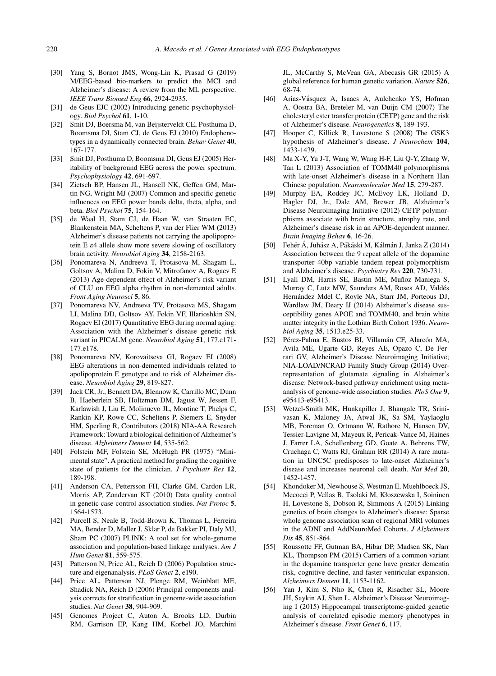- [30] Yang S, Bornot JMS, Wong-Lin K, Prasad G (2019) M/EEG-based bio-markers to predict the MCI and Alzheimer's disease: A review from the ML perspective. *IEEE Trans Biomed Eng* **66**, 2924-2935.
- [31] de Geus EJC (2002) Introducing genetic psychophysiology. *Biol Psychol* **61**, 1-10.
- [32] Smit DJ, Boersma M, van Beijsterveldt CE, Posthuma D, Boomsma DI, Stam CJ, de Geus EJ (2010) Endophenotypes in a dynamically connected brain. *Behav Genet* **40**, 167-177.
- [33] Smit DJ, Posthuma D, Boomsma DI, Geus EJ (2005) Heritability of background EEG across the power spectrum. *Psychophysiology* **42**, 691-697.
- [34] Zietsch BP, Hansen JL, Hansell NK, Geffen GM, Martin NG, Wright MJ (2007) Common and specific genetic influences on EEG power bands delta, theta, alpha, and beta. *Biol Psychol* **75**, 154-164.
- [35] de Waal H, Stam CJ, de Haan W, van Straaten EC, Blankenstein MA, Scheltens P, van der Flier WM (2013) Alzheimer's disease patients not carrying the apolipoprotein E  $\varepsilon$ 4 allele show more severe slowing of oscillatory brain activity. *Neurobiol Aging* **34**, 2158-2163.
- [36] Ponomareva N, Andreeva T, Protasova M, Shagam L, Goltsov A, Malina D, Fokin V, Mitrofanov A, Rogaev E (2013) Age-dependent effect of Alzheimer's risk variant of CLU on EEG alpha rhythm in non-demented adults. *Front Aging Neurosci* **5**, 86.
- [37] Ponomareva NV, Andreeva TV, Protasova MS, Shagam LI, Malina DD, Goltsov AY, Fokin VF, Illarioshkin SN, Rogaev EI (2017) Quantitative EEG during normal aging: Association with the Alzheimer's disease genetic risk variant in PICALM gene. *Neurobiol Aging* **51**, 177.e171- 177.e178.
- [38] Ponomareva NV, Korovaitseva GI, Rogaev EI (2008) EEG alterations in non-demented individuals related to apolipoprotein E genotype and to risk of Alzheimer disease. *Neurobiol Aging* **29**, 819-827.
- [39] Jack CR, Jr., Bennett DA, Blennow K, Carrillo MC, Dunn B, Haeberlein SB, Holtzman DM, Jagust W, Jessen F, Karlawish J, Liu E, Molinuevo JL, Montine T, Phelps C, Rankin KP, Rowe CC, Scheltens P, Siemers E, Snyder HM, Sperling R, Contributors (2018) NIA-AA Research Framework: Toward a biological definition of Alzheimer's disease. *Alzheimers Dement* **14**, 535-562.
- [40] Folstein MF, Folstein SE, McHugh PR (1975) "Minimental state". A practical method for grading the cognitive state of patients for the clinician. *J Psychiatr Res* **12**, 189-198.
- [41] Anderson CA, Pettersson FH, Clarke GM, Cardon LR, Morris AP, Zondervan KT (2010) Data quality control in genetic case-control association studies. *Nat Protoc* **5**, 1564-1573.
- [42] Purcell S, Neale B, Todd-Brown K, Thomas L, Ferreira MA, Bender D, Maller J, Sklar P, de Bakker PI, Daly MJ, Sham PC (2007) PLINK: A tool set for whole-genome association and population-based linkage analyses. *Am J Hum Genet* **81**, 559-575.
- [43] Patterson N, Price AL, Reich D (2006) Population structure and eigenanalysis. *PLoS Genet* **2**, e190.
- [44] Price AL, Patterson NJ, Plenge RM, Weinblatt ME, Shadick NA, Reich D (2006) Principal components analysis corrects for stratification in genome-wide association studies. *Nat Genet* **38**, 904-909.
- [45] Genomes Project C, Auton A, Brooks LD, Durbin RM, Garrison EP, Kang HM, Korbel JO, Marchini

JL, McCarthy S, McVean GA, Abecasis GR (2015) A global reference for human genetic variation. *Nature* **526**, 68-74.

- [46] Arias-Vásquez A, Isaacs A, Aulchenko YS, Hofman A, Oostra BA, Breteler M, van Duijn CM (2007) The cholesteryl ester transfer protein (CETP) gene and the risk of Alzheimer's disease. *Neurogenetics* **8**, 189-193.
- [47] Hooper C, Killick R, Lovestone S (2008) The GSK3 hypothesis of Alzheimer's disease. *J Neurochem* **104**, 1433-1439.
- [48] Ma X-Y, Yu J-T, Wang W, Wang H-F, Liu Q-Y, Zhang W, Tan L (2013) Association of TOMM40 polymorphisms with late-onset Alzheimer's disease in a Northern Han Chinese population. *Neuromolecular Med* **15**, 279-287.
- [49] Murphy EA, Roddey JC, McEvoy LK, Holland D, Hagler DJ, Jr., Dale AM, Brewer JB, Alzheimer's Disease Neuroimaging Initiative (2012) CETP polymorphisms associate with brain structure, atrophy rate, and Alzheimer's disease risk in an APOE-dependent manner. *Brain Imaging Behav* **6**, 16-26.
- [50] Fehér Á, Juhász A, Pákáski M, Kálmán J, Janka Z (2014) Association between the 9 repeat allele of the dopamine transporter 40bp variable tandem repeat polymorphism and Alzheimer's disease. *Psychiatry Res* **220**, 730-731.
- [51] Lyall DM, Harris SE, Bastin ME, Muñoz Maniega S, Murray C, Lutz MW, Saunders AM, Roses AD, Valdes´ Hernández Mdel C, Royle NA, Starr JM, Porteous DJ, Wardlaw JM, Deary IJ (2014) Alzheimer's disease susceptibility genes APOE and TOMM40, and brain white matter integrity in the Lothian Birth Cohort 1936. *Neurobiol Aging* **35**, 1513.e25-33.
- [52] Pérez-Palma E, Bustos BI, Villamán CF, Alarcón MA, Avila ME, Ugarte GD, Reyes AE, Opazo C, De Ferrari GV, Alzheimer's Disease Neuroimaging Initiative; NIA-LOAD/NCRAD Family Study Group (2014) Overrepresentation of glutamate signaling in Alzheimer's disease: Network-based pathway enrichment using metaanalysis of genome-wide association studies. *PloS One* **9**, e95413-e95413.
- [53] Wetzel-Smith MK, Hunkapiller J, Bhangale TR, Srinivasan K, Maloney JA, Atwal JK, Sa SM, Yaylaoglu MB, Foreman O, Ortmann W, Rathore N, Hansen DV, Tessier-Lavigne M, Mayeux R, Pericak-Vance M, Haines J, Farrer LA, Schellenberg GD, Goate A, Behrens TW, Cruchaga C, Watts RJ, Graham RR (2014) A rare mutation in UNC5C predisposes to late-onset Alzheimer's disease and increases neuronal cell death. *Nat Med* **20**, 1452-1457.
- [54] Khondoker M, Newhouse S, Westman E, Muehlboeck JS, Mecocci P, Vellas B, Tsolaki M, Kłoszewska I, Soininen H, Lovestone S, Dobson R, Simmons A (2015) Linking genetics of brain changes to Alzheimer's disease: Sparse whole genome association scan of regional MRI volumes in the ADNI and AddNeuroMed Cohorts. *J Alzheimers Dis* **45**, 851-864.
- [55] Roussotte FF, Gutman BA, Hibar DP, Madsen SK, Narr KL, Thompson PM (2015) Carriers of a common variant in the dopamine transporter gene have greater dementia risk, cognitive decline, and faster ventricular expansion. *Alzheimers Dement* **11**, 1153-1162.
- [56] Yan J, Kim S, Nho K, Chen R, Risacher SL, Moore JH, Saykin AJ, Shen L, Alzheimer's Disease Neuroimaging I (2015) Hippocampal transcriptome-guided genetic analysis of correlated episodic memory phenotypes in Alzheimer's disease. *Front Genet* **6**, 117.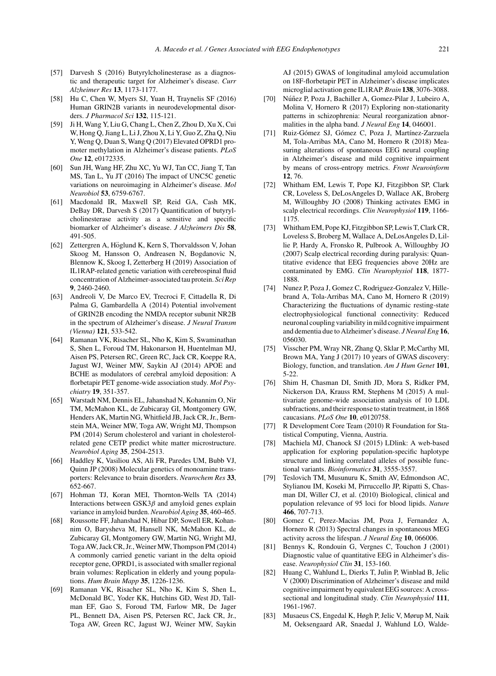- [57] Darvesh S (2016) Butyrylcholinesterase as a diagnostic and therapeutic target for Alzheimer's disease. *Curr Alzheimer Res* **13**, 1173-1177.
- [58] Hu C, Chen W, Myers SJ, Yuan H, Traynelis SF (2016) Human GRIN2B variants in neurodevelopmental disorders. *J Pharmacol Sci* **132**, 115-121.
- [59] Ji H, Wang Y, Liu G, Chang L, Chen Z, Zhou D, Xu X, Cui W, Hong Q, Jiang L, Li J, Zhou X, Li Y, Guo Z, Zha Q, Niu Y, Weng Q, Duan S, Wang Q (2017) Elevated OPRD1 promoter methylation in Alzheimer's disease patients. *PLoS One* **12**, e0172335.
- [60] Sun JH, Wang HF, Zhu XC, Yu WJ, Tan CC, Jiang T, Tan MS, Tan L, Yu JT (2016) The impact of UNC5C genetic variations on neuroimaging in Alzheimer's disease. *Mol Neurobiol* **53**, 6759-6767.
- [61] Macdonald IR, Maxwell SP, Reid GA, Cash MK, DeBay DR, Darvesh S (2017) Quantification of butyrylcholinesterase activity as a sensitive and specific biomarker of Alzheimer's disease. *J Alzheimers Dis* **58**, 491-505.
- [62] Zettergren A, Höglund K, Kern S, Thorvaldsson V, Johan Skoog M, Hansson O, Andreasen N, Bogdanovic N, Blennow K, Skoog I, Zetterberg H (2019) Association of IL1RAP-related genetic variation with cerebrospinal fluid concentration of Alzheimer-associated tau protein. *Sci Rep* **9**, 2460-2460.
- [63] Andreoli V, De Marco EV, Trecroci F, Cittadella R, Di Palma G, Gambardella A (2014) Potential involvement of GRIN2B encoding the NMDA receptor subunit NR2B in the spectrum of Alzheimer's disease. *J Neural Transm (Vienna)* **121**, 533-542.
- [64] Ramanan VK, Risacher SL, Nho K, Kim S, Swaminathan S, Shen L, Foroud TM, Hakonarson H, Huentelman MJ, Aisen PS, Petersen RC, Green RC, Jack CR, Koeppe RA, Jagust WJ, Weiner MW, Saykin AJ (2014) APOE and BCHE as modulators of cerebral amyloid deposition: A florbetapir PET genome-wide association study. *Mol Psychiatry* **19**, 351-357.
- [65] Warstadt NM, Dennis EL, Jahanshad N, Kohannim O, Nir TM, McMahon KL, de Zubicaray GI, Montgomery GW, Henders AK, Martin NG, Whitfield JB, Jack CR, Jr., Bernstein MA, Weiner MW, Toga AW, Wright MJ, Thompson PM (2014) Serum cholesterol and variant in cholesterolrelated gene CETP predict white matter microstructure. *Neurobiol Aging* **35**, 2504-2513.
- [66] Haddley K, Vasiliou AS, Ali FR, Paredes UM, Bubb VJ, Quinn JP (2008) Molecular genetics of monoamine transporters: Relevance to brain disorders. *Neurochem Res* **33**, 652-667.
- [67] Hohman TJ, Koran MEI, Thornton-Wells TA (2014) Interactions between  $GSK3\beta$  and amyloid genes explain variance in amyloid burden. *Neurobiol Aging* **35**, 460-465.
- [68] Roussotte FF, Jahanshad N, Hibar DP, Sowell ER, Kohannim O, Barysheva M, Hansell NK, McMahon KL, de Zubicaray GI, Montgomery GW, Martin NG, Wright MJ, Toga AW, Jack CR, Jr., Weiner MW, Thompson PM (2014) A commonly carried genetic variant in the delta opioid receptor gene, OPRD1, is associated with smaller regional brain volumes: Replication in elderly and young populations. *Hum Brain Mapp* **35**, 1226-1236.
- [69] Ramanan VK, Risacher SL, Nho K, Kim S, Shen L, McDonald BC, Yoder KK, Hutchins GD, West JD, Tallman EF, Gao S, Foroud TM, Farlow MR, De Jager PL, Bennett DA, Aisen PS, Petersen RC, Jack CR, Jr., Toga AW, Green RC, Jagust WJ, Weiner MW, Saykin

AJ (2015) GWAS of longitudinal amyloid accumulation on 18F-florbetapir PET in Alzheimer's disease implicates microglial activation gene IL1RAP.*Brain* **138**, 3076-3088.

- [70] Núñez P, Poza J, Bachiller A, Gomez-Pilar J, Lubeiro A, Molina V, Hornero R (2017) Exploring non-stationarity patterns in schizophrenia: Neural reorganization abnormalities in the alpha band. *J Neural Eng* **14**, 046001.
- [71] Ruiz-Gómez SJ, Gómez C, Poza J, Martínez-Zarzuela M, Tola-Arribas MA, Cano M, Hornero R (2018) Measuring alterations of spontaneous EEG neural coupling in Alzheimer's disease and mild cognitive impairment by means of cross-entropy metrics. *Front Neuroinform* **12**, 76.
- [72] Whitham EM, Lewis T, Pope KJ, Fitzgibbon SP, Clark CR, Loveless S, DeLosAngeles D, Wallace AK, Broberg M, Willoughby JO (2008) Thinking activates EMG in scalp electrical recordings. *Clin Neurophysiol* **119**, 1166- 1175.
- [73] Whitham EM, Pope KJ, Fitzgibbon SP, Lewis T, Clark CR, Loveless S, Broberg M, Wallace A, DeLosAngeles D, Lillie P, Hardy A, Fronsko R, Pulbrook A, Willoughby JO (2007) Scalp electrical recording during paralysis: Quantitative evidence that EEG frequencies above 20Hz are contaminated by EMG. *Clin Neurophysiol* **118**, 1877- 1888.
- [74] Nunez P, Poza J, Gomez C, Rodriguez-Gonzalez V, Hillebrand A, Tola-Arribas MA, Cano M, Hornero R (2019) Characterizing the fluctuations of dynamic resting-state electrophysiological functional connectivity: Reduced neuronal coupling variability in mild cognitive impairment and dementia due to Alzheimer's disease. *J Neural Eng* **16**, 056030.
- [75] Visscher PM, Wray NR, Zhang Q, Sklar P, McCarthy MI, Brown MA, Yang J (2017) 10 years of GWAS discovery: Biology, function, and translation. *Am J Hum Genet* **101**, 5-22.
- [76] Shim H, Chasman DI, Smith JD, Mora S, Ridker PM, Nickerson DA, Krauss RM, Stephens M (2015) A multivariate genome-wide association analysis of 10 LDL subfractions, and their response to statin treatment, in 1868 caucasians. *PLoS One* **10**, e0120758.
- [77] R Development Core Team (2010) R Foundation for Statistical Computing, Vienna, Austria.
- [78] Machiela MJ, Chanock SJ (2015) LDlink: A web-based application for exploring population-specific haplotype structure and linking correlated alleles of possible functional variants. *Bioinformatics* **31**, 3555-3557.
- [79] Teslovich TM, Musunuru K, Smith AV, Edmondson AC, Stylianou IM, Koseki M, Pirruccello JP, Ripatti S, Chasman DI, Willer CJ, et al. (2010) Biological, clinical and population relevance of 95 loci for blood lipids. *Nature* **466**, 707-713.
- [80] Gomez C, Perez-Macias JM, Poza J, Fernandez A, Hornero R (2013) Spectral changes in spontaneous MEG activity across the lifespan. *J Neural Eng* **10**, 066006.
- [81] Bennys K, Rondouin G, Vergnes C, Touchon J (2001) Diagnostic value of quantitative EEG in Alzheimer's disease. *Neurophysiol Clin* **31**, 153-160.
- [82] Huang C, Wahlund L, Dierks T, Julin P, Winblad B, Jelic V (2000) Discrimination of Alzheimer's disease and mild cognitive impairment by equivalent EEG sources: A crosssectional and longitudinal study. *Clin Neurophysiol* **111**, 1961-1967.
- [83] Musaeus CS, Engedal K, Høgh P, Jelic V, Mørup M, Naik M, Oeksengaard AR, Snaedal J, Wahlund LO, Walde-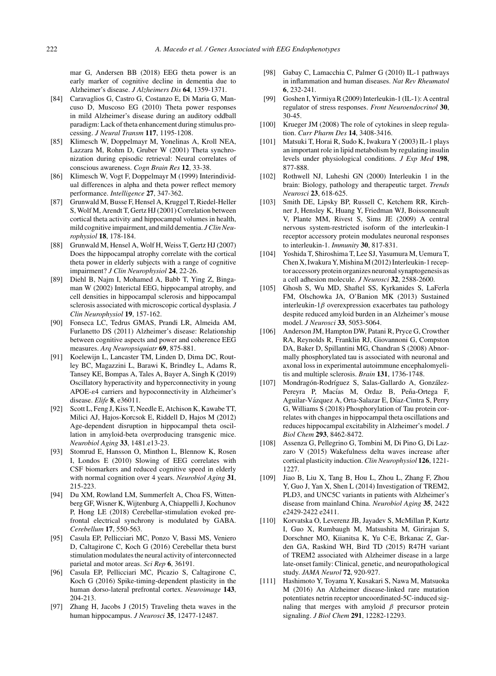mar G, Andersen BB (2018) EEG theta power is an early marker of cognitive decline in dementia due to Alzheimer's disease. *J Alzheimers Dis* **64**, 1359-1371.

- [84] Caravaglios G, Castro G, Costanzo E, Di Maria G, Mancuso D, Muscoso EG (2010) Theta power responses in mild Alzheimer's disease during an auditory oddball paradigm: Lack of theta enhancement during stimulus processing. *J Neural Transm* **117**, 1195-1208.
- [85] Klimesch W, Doppelmayr M, Yonelinas A, Kroll NEA, Lazzara M, Rohm D, Gruber W (2001) Theta synchronization during episodic retrieval: Neural correlates of conscious awareness. *Cogn Brain Res* **12**, 33-38.
- [86] Klimesch W, Vogt F, Doppelmayr M (1999) Interindividual differences in alpha and theta power reflect memory performance. *Intelligence* **27**, 347-362.
- [87] Grunwald M, Busse F, Hensel A, Kruggel T, Riedel-Heller S, Wolf M, Arendt T, Gertz HJ (2001) Correlation between cortical theta activity and hippocampal volumes in health, mild cognitive impairment, and mild dementia. *J Clin Neurophysiol* **18**, 178-184.
- [88] Grunwald M, Hensel A, Wolf H, Weiss T, Gertz HJ (2007) Does the hippocampal atrophy correlate with the cortical theta power in elderly subjects with a range of cognitive impairment? *J Clin Neurophysiol* **24**, 22-26.
- [89] Diehl B, Najm I, Mohamed A, Babb T, Ying Z, Bingaman W (2002) Interictal EEG, hippocampal atrophy, and cell densities in hippocampal sclerosis and hippocampal sclerosis associated with microscopic cortical dysplasia. *J Clin Neurophysiol* **19**, 157-162.
- [90] Fonseca LC, Tedrus GMAS, Prandi LR, Almeida AM, Furlanetto DS (2011) Alzheimer's disease: Relationship between cognitive aspects and power and coherence EEG measures. *Arq Neuropsiquiatr* **69**, 875-881.
- [91] Koelewijn L, Lancaster TM, Linden D, Dima DC, Routley BC, Magazzini L, Barawi K, Brindley L, Adams R, Tansey KE, Bompas A, Tales A, Bayer A, Singh K (2019) Oscillatory hyperactivity and hyperconnectivity in young APOE- $\epsilon$ 4 carriers and hypoconnectivity in Alzheimer's disease. *Elife* **8**, e36011.
- [92] Scott L, Feng J, Kiss T, Needle E, Atchison K, Kawabe TT, Milici AJ, Hajos-Korcsok E, Riddell D, Hajos M (2012) Age-dependent disruption in hippocampal theta oscillation in amyloid-beta overproducing transgenic mice. *Neurobiol Aging* **33**, 1481.e13-23.
- [93] Stomrud E, Hansson O, Minthon L, Blennow K, Rosen I, Londos E (2010) Slowing of EEG correlates with CSF biomarkers and reduced cognitive speed in elderly with normal cognition over 4 years. *Neurobiol Aging* **31**, 215-223.
- [94] Du XM, Rowland LM, Summerfelt A, Choa FS, Wittenberg GF, Wisner K, Wijtenburg A, Chiappelli J, Kochunov P, Hong LE (2018) Cerebellar-stimulation evoked prefrontal electrical synchrony is modulated by GABA. *Cerebellum* **17**, 550-563.
- [95] Casula EP, Pellicciari MC, Ponzo V, Bassi MS, Veniero D, Caltagirone C, Koch G (2016) Cerebellar theta burst stimulation modulates the neural activity of interconnected parietal and motor areas. *Sci Rep* **6**, 36191.
- [96] Casula EP, Pellicciari MC, Picazio S, Caltagirone C, Koch G (2016) Spike-timing-dependent plasticity in the human dorso-lateral prefrontal cortex. *Neuroimage* **143**, 204-213.
- [97] Zhang H, Jacobs J (2015) Traveling theta waves in the human hippocampus. *J Neurosci* **35**, 12477-12487.
- [98] Gabay C, Lamacchia C, Palmer G (2010) IL-1 pathways in inflammation and human diseases. *Nat Rev Rheumatol* **6**, 232-241.
- [99] Goshen I, Yirmiya R (2009) Interleukin-1 (IL-1): A central regulator of stress responses. *Front Neuroendocrinol* **30**, 30-45.
- [100] Krueger JM (2008) The role of cytokines in sleep regulation. *Curr Pharm Des* **14**, 3408-3416.
- [101] Matsuki T, Horai R, Sudo K, Iwakura Y (2003) IL-1 plays an important role in lipid metabolism by regulating insulin levels under physiological conditions. *J Exp Med* **198**, 877-888.
- [102] Rothwell NJ, Luheshi GN (2000) Interleukin 1 in the brain: Biology, pathology and therapeutic target. *Trends Neurosci* **23**, 618-625.
- [103] Smith DE, Lipsky BP, Russell C, Ketchem RR, Kirchner J, Hensley K, Huang Y, Friedman WJ, Boissonneault V, Plante MM, Rivest S, Sims JE (2009) A central nervous system-restricted isoform of the interleukin-1 receptor accessory protein modulates neuronal responses to interleukin-1. *Immunity* **30**, 817-831.
- [104] Yoshida T, Shiroshima T, Lee SJ, Yasumura M, Uemura T, Chen X, Iwakura Y, Mishina M (2012) Interleukin-1 receptor accessory protein organizes neuronal synaptogenesis as a cell adhesion molecule. *J Neurosci* **32**, 2588-2600.
- [105] Ghosh S, Wu MD, Shaftel SS, Kyrkanides S, LaFerla FM, Olschowka JA, O'Banion MK (2013) Sustained interleukin-1 $\beta$  overexpression exacerbates tau pathology despite reduced amyloid burden in an Alzheimer's mouse model. *J Neurosci* **33**, 5053-5064.
- [106] Anderson JM, Hampton DW, Patani R, Pryce G, Crowther RA, Reynolds R, Franklin RJ, Giovannoni G, Compston DA, Baker D, Spillantini MG, Chandran S (2008) Abnormally phosphorylated tau is associated with neuronal and axonal loss in experimental autoimmune encephalomyelitis and multiple sclerosis. *Brain* **131**, 1736-1748.
- [107] Mondragón-Rodríguez S, Salas-Gallardo A, González-Pereyra P, Macías M, Ordaz B, Peña-Ortega F, Aguilar-Vázquez A, Orta-Salazar E, Díaz-Cintra S, Perry G, Williams S (2018) Phosphorylation of Tau protein correlates with changes in hippocampal theta oscillations and reduces hippocampal excitability in Alzheimer's model. *J Biol Chem* **293**, 8462-8472.
- [108] Assenza G, Pellegrino G, Tombini M, Di Pino G, Di Lazzaro V (2015) Wakefulness delta waves increase after cortical plasticity induction. *Clin Neurophysiol* **126**, 1221- 1227.
- [109] Jiao B, Liu X, Tang B, Hou L, Zhou L, Zhang F, Zhou Y, Guo J, Yan X, Shen L (2014) Investigation of TREM2, PLD3, and UNC5C variants in patients with Alzheimer's disease from mainland China. *Neurobiol Aging* **35**, 2422 e2429-2422 e2411.
- [110] Korvatska O, Leverenz JB, Jayadev S, McMillan P, Kurtz I, Guo X, Rumbaugh M, Matsushita M, Girirajan S, Dorschner MO, Kiianitsa K, Yu C-E, Brkanac Z, Garden GA, Raskind WH, Bird TD (2015) R47H variant of TREM2 associated with Alzheimer disease in a large late-onset family: Clinical, genetic, and neuropathological study. *JAMA Neurol* **72**, 920-927.
- [111] Hashimoto Y, Toyama Y, Kusakari S, Nawa M, Matsuoka M (2016) An Alzheimer disease-linked rare mutation potentiates netrin receptor uncoordinated-5C-induced signaling that merges with amyloid  $\beta$  precursor protein signaling. *J Biol Chem* **291**, 12282-12293.